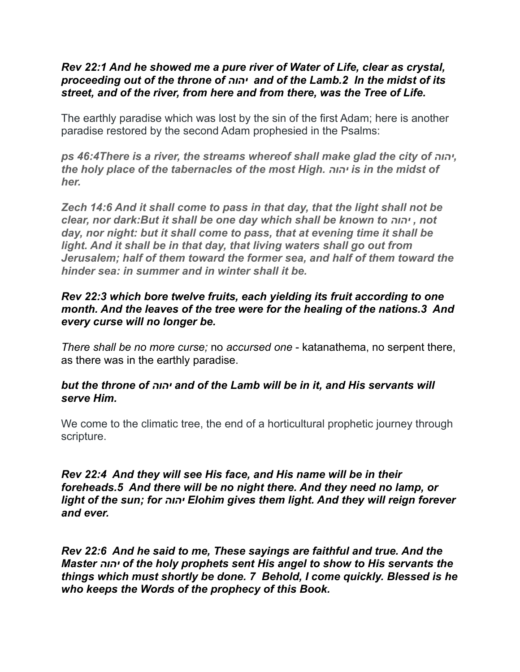### *Rev 22:1 And he showed me a pure river of Water of Life, clear as crystal, proceeding out of the throne of יהוה and of the Lamb.2 In the midst of its street, and of the river, from here and from there, was the Tree of Life.*

The earthly paradise which was lost by the sin of the first Adam; here is another paradise restored by the second Adam prophesied in the Psalms:

*ps 46:4There is a river, the streams whereof shall make glad the city of יהוה, the holy place of the tabernacles of the most High. יהוה is in the midst of her.* 

*Zech 14:6 And it shall come to pass in that day, that the light shall not be clear, nor dark:But it shall be one day which shall be known to יהוה , not day, nor night: but it shall come to pass, that at evening time it shall be light. And it shall be in that day, that living waters shall go out from Jerusalem; half of them toward the former sea, and half of them toward the hinder sea: in summer and in winter shall it be.*

## *Rev 22:3 which bore twelve fruits, each yielding its fruit according to one month. And the leaves of the tree were for the healing of the nations.3 And every curse will no longer be.*

*There shall be no more curse;* no *accursed one* - katanathema, no serpent there, as there was in the earthly paradise.

### *but the throne of יהוה and of the Lamb will be in it, and His servants will serve Him.*

We come to the climatic tree, the end of a horticultural prophetic journey through scripture.

### *Rev 22:4 And they will see His face, and His name will be in their foreheads.5 And there will be no night there. And they need no lamp, or light of the sun; for יהוה Elohim gives them light. And they will reign forever and ever.*

*Rev 22:6 And he said to me, These sayings are faithful and true. And the Master יהוה of the holy prophets sent His angel to show to His servants the things which must shortly be done. 7 Behold, I come quickly. Blessed is he who keeps the Words of the prophecy of this Book.*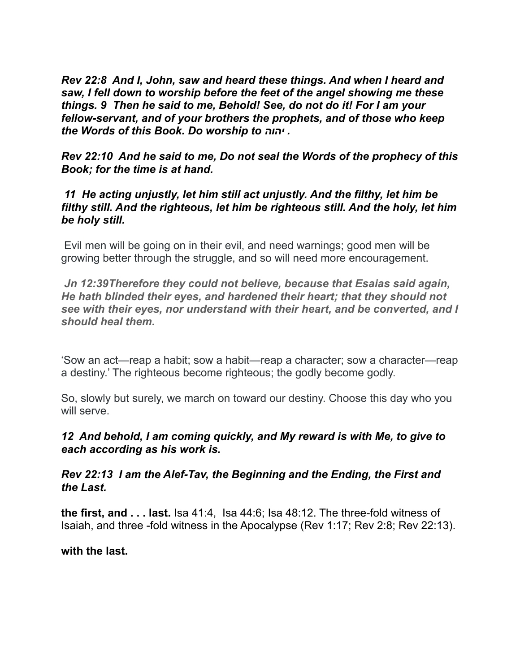*Rev 22:8 And I, John, saw and heard these things. And when I heard and saw, I fell down to worship before the feet of the angel showing me these things. 9 Then he said to me, Behold! See, do not do it! For I am your fellow-servant, and of your brothers the prophets, and of those who keep the Words of this Book. Do worship to יהוה .*

*Rev 22:10 And he said to me, Do not seal the Words of the prophecy of this Book; for the time is at hand.* 

### *11 He acting unjustly, let him still act unjustly. And the filthy, let him be filthy still. And the righteous, let him be righteous still. And the holy, let him be holy still.*

 Evil men will be going on in their evil, and need warnings; good men will be growing better through the struggle, and so will need more encouragement.

 *Jn 12:39Therefore they could not believe, because that Esaias said again, He hath blinded their eyes, and hardened their heart; that they should not see with their eyes, nor understand with their heart, and be converted, and I should heal them.* 

'Sow an act—reap a habit; sow a habit—reap a character; sow a character—reap a destiny.' The righteous become righteous; the godly become godly.

So, slowly but surely, we march on toward our destiny. Choose this day who you will serve.

## *12 And behold, I am coming quickly, and My reward is with Me, to give to each according as his work is.*

*Rev 22:13 I am the Alef-Tav, the Beginning and the Ending, the First and the Last.* 

**the first, and . . . last.** Isa 41:4, Isa 44:6; Isa 48:12. The three-fold witness of Isaiah, and three -fold witness in the Apocalypse (Rev 1:17; Rev 2:8; Rev 22:13).

#### **with the last.**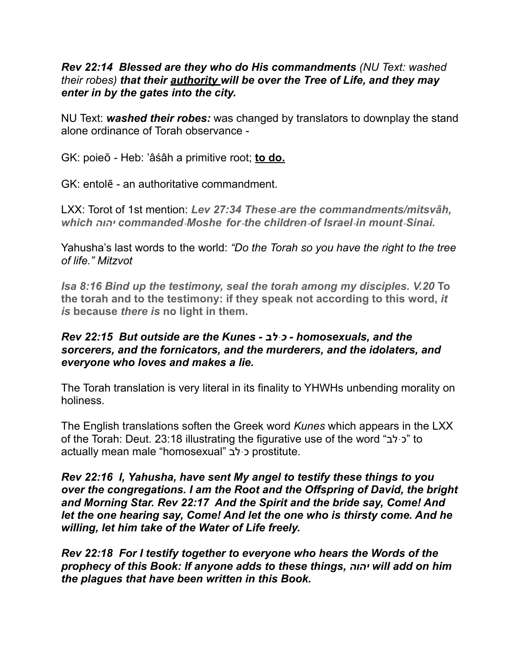### *Rev 22:14 Blessed are they who do His commandments (NU Text: washed their robes) that their authority will be over the Tree of Life, and they may enter in by the gates into the city.*

NU Text: *washed their robes:* was changed by translators to downplay the stand alone ordinance of Torah observance -

GK: poieō - Heb: 'âśâh a primitive root; **to do.** 

GK: entolē - an authoritative commandment.

LXX: Torot of 1st mention: *Lev 27:34 These are the commandments/mitsvâh, which יהוה commanded Moshe for the children of Israel in mount Sinai.*

Yahusha's last words to the world: *"Do the Torah so you have the right to the tree of life." Mitzvot* 

*Isa 8:16 Bind up the testimony, seal the torah among my disciples. V.20* **To the torah and to the testimony: if they speak not according to this word,** *it is* **because** *there is* **no light in them.**

### *Rev 22:15 But outside are the Kunes - לבּכ - homosexuals, and the sorcerers, and the fornicators, and the murderers, and the idolaters, and everyone who loves and makes a lie.*

The Torah translation is very literal in its finality to YHWHs unbending morality on holiness.

The English translations soften the Greek word *Kunes* which appears in the LXX of the Torah: Deut. 23:18 illustrating the figurative use of the word "כי לב" to actually mean male "homosexual" לבּכ prostitute.

*Rev 22:16 I, Yahusha, have sent My angel to testify these things to you over the congregations. I am the Root and the Offspring of David, the bright and Morning Star. Rev 22:17 And the Spirit and the bride say, Come! And let the one hearing say, Come! And let the one who is thirsty come. And he willing, let him take of the Water of Life freely.* 

*Rev 22:18 For I testify together to everyone who hears the Words of the prophecy of this Book: If anyone adds to these things, יהוה will add on him the plagues that have been written in this Book.*